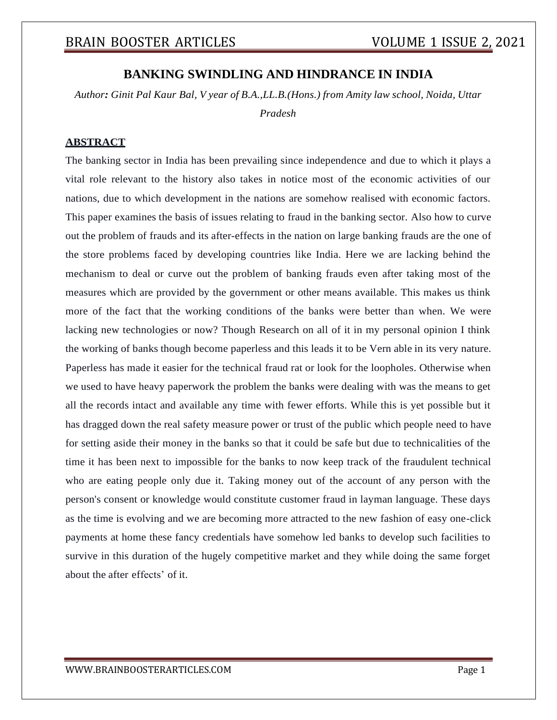## **BANKING SWINDLING AND HINDRANCE IN INDIA**

*Author: Ginit Pal Kaur Bal, V year of B.A.,LL.B.(Hons.) from Amity law school, Noida, Uttar Pradesh*

### **ABSTRACT**

The banking sector in India has been prevailing since independence and due to which it plays a vital role relevant to the history also takes in notice most of the economic activities of our nations, due to which development in the nations are somehow realised with economic factors. This paper examines the basis of issues relating to fraud in the banking sector. Also how to curve out the problem of frauds and its after-effects in the nation on large banking frauds are the one of the store problems faced by developing countries like India. Here we are lacking behind the mechanism to deal or curve out the problem of banking frauds even after taking most of the measures which are provided by the government or other means available. This makes us think more of the fact that the working conditions of the banks were better than when. We were lacking new technologies or now? Though Research on all of it in my personal opinion I think the working of banks though become paperless and this leads it to be Vern able in its very nature. Paperless has made it easier for the technical fraud rat or look for the loopholes. Otherwise when we used to have heavy paperwork the problem the banks were dealing with was the means to get all the records intact and available any time with fewer efforts. While this is yet possible but it has dragged down the real safety measure power or trust of the public which people need to have for setting aside their money in the banks so that it could be safe but due to technicalities of the time it has been next to impossible for the banks to now keep track of the fraudulent technical who are eating people only due it. Taking money out of the account of any person with the person's consent or knowledge would constitute customer fraud in layman language. These days as the time is evolving and we are becoming more attracted to the new fashion of easy one-click payments at home these fancy credentials have somehow led banks to develop such facilities to survive in this duration of the hugely competitive market and they while doing the same forget about the after effects' of it.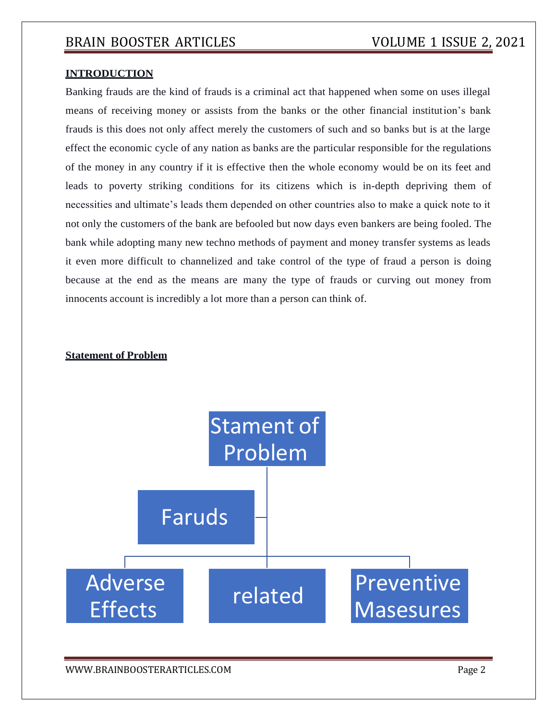#### **INTRODUCTION**

Banking frauds are the kind of frauds is a criminal act that happened when some on uses illegal means of receiving money or assists from the banks or the other financial institution's bank frauds is this does not only affect merely the customers of such and so banks but is at the large effect the economic cycle of any nation as banks are the particular responsible for the regulations of the money in any country if it is effective then the whole economy would be on its feet and leads to poverty striking conditions for its citizens which is in-depth depriving them of necessities and ultimate's leads them depended on other countries also to make a quick note to it not only the customers of the bank are befooled but now days even bankers are being fooled. The bank while adopting many new techno methods of payment and money transfer systems as leads it even more difficult to channelized and take control of the type of fraud a person is doing because at the end as the means are many the type of frauds or curving out money from innocents account is incredibly a lot more than a person can think of.

#### **Statement of Problem**



[WWW.BRAINBOOSTERARTICLES.COM](http://www.brainboosterarticles.com/) enterprise and the control of the control of the control of the control of the control of the control of the control of the control of the control of the control of the control of the control o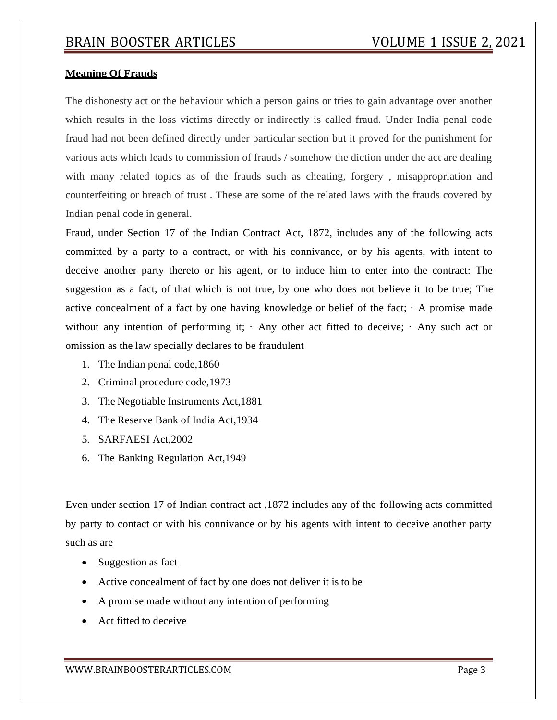#### **Meaning Of Frauds**

The dishonesty act or the behaviour which a person gains or tries to gain advantage over another which results in the loss victims directly or indirectly is called fraud. Under India penal code fraud had not been defined directly under particular section but it proved for the punishment for various acts which leads to commission of frauds / somehow the diction under the act are dealing with many related topics as of the frauds such as cheating, forgery , misappropriation and counterfeiting or breach of trust . These are some of the related laws with the frauds covered by Indian penal code in general.

Fraud, under Section 17 of the Indian Contract Act, 1872, includes any of the following acts committed by a party to a contract, or with his connivance, or by his agents, with intent to deceive another party thereto or his agent, or to induce him to enter into the contract: The suggestion as a fact, of that which is not true, by one who does not believe it to be true; The active concealment of a fact by one having knowledge or belief of the fact;  $\cdot$  A promise made without any intention of performing it;  $\cdot$  Any other act fitted to deceive;  $\cdot$  Any such act or omission as the law specially declares to be fraudulent

- 1. The Indian penal code,1860
- 2. Criminal procedure code,1973
- 3. The Negotiable Instruments Act,1881
- 4. The Reserve Bank of India Act,1934
- 5. SARFAESI Act,2002
- 6. The Banking Regulation Act,1949

Even under section 17 of Indian contract act ,1872 includes any of the following acts committed by party to contact or with his connivance or by his agents with intent to deceive another party such as are

- Suggestion as fact
- Active concealment of fact by one does not deliver it is to be
- A promise made without any intention of performing
- Act fitted to deceive

[WWW.BRAINBOOSTERARTICLES.COM](http://www.brainboosterarticles.com/) Page 3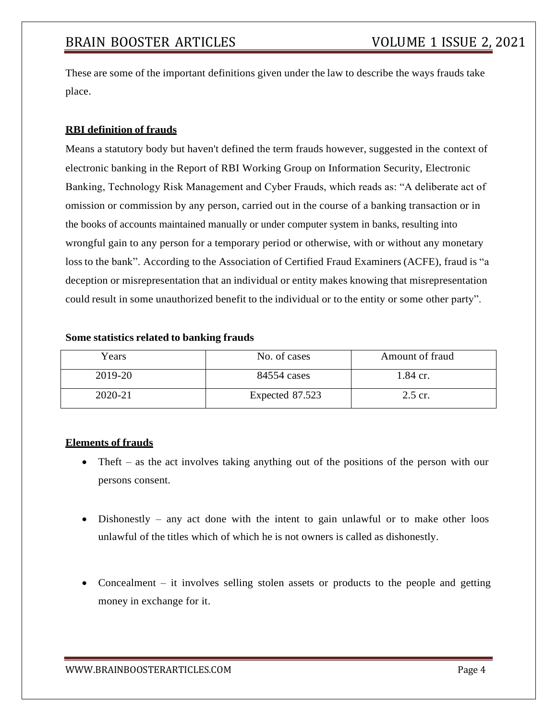These are some of the important definitions given under the law to describe the ways frauds take place.

#### **RBI definition of frauds**

Means a statutory body but haven't defined the term frauds however, suggested in the context of electronic banking in the Report of RBI Working Group on Information Security, Electronic Banking, Technology Risk Management and Cyber Frauds, which reads as: "A deliberate act of omission or commission by any person, carried out in the course of a banking transaction or in the books of accounts maintained manually or under computer system in banks, resulting into wrongful gain to any person for a temporary period or otherwise, with or without any monetary loss to the bank". According to the Association of Certified Fraud Examiners (ACFE), fraud is "a deception or misrepresentation that an individual or entity makes knowing that misrepresentation could result in some unauthorized benefit to the individual or to the entity or some other party".

#### **Some statistics related to banking frauds**

| Years   | No. of cases    | Amount of fraud |
|---------|-----------------|-----------------|
| 2019-20 | 84554 cases     | 1.84 cr.        |
| 2020-21 | Expected 87.523 | 2.5 cr.         |

#### **Elements of frauds**

- Theft as the act involves taking anything out of the positions of the person with our persons consent.
- Dishonestly any act done with the intent to gain unlawful or to make other loos unlawful of the titles which of which he is not owners is called as dishonestly.
- Concealment it involves selling stolen assets or products to the people and getting money in exchange for it.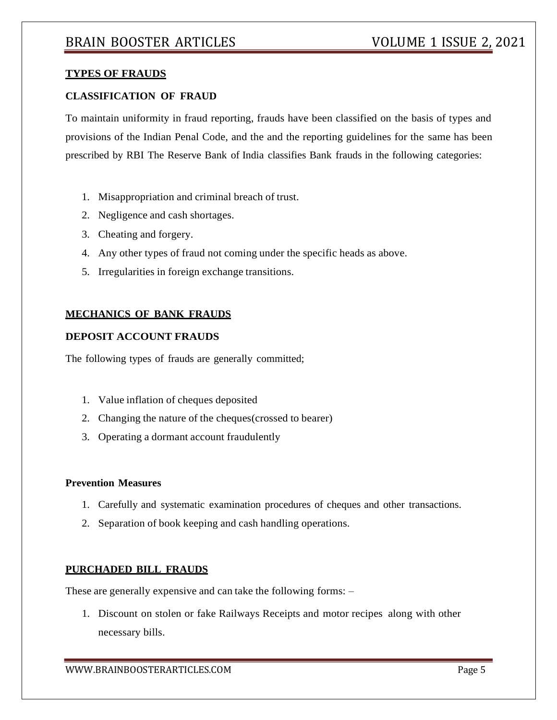#### **TYPES OF FRAUDS**

#### **CLASSIFICATION OF FRAUD**

To maintain uniformity in fraud reporting, frauds have been classified on the basis of types and provisions of the Indian Penal Code, and the and the reporting guidelines for the same has been prescribed by RBI The Reserve Bank of India classifies Bank frauds in the following categories:

- 1. Misappropriation and criminal breach of trust.
- 2. Negligence and cash shortages.
- 3. Cheating and forgery.
- 4. Any other types of fraud not coming under the specific heads as above.
- 5. Irregularities in foreign exchange transitions.

#### **MECHANICS OF BANK FRAUDS**

### **DEPOSIT ACCOUNT FRAUDS**

The following types of frauds are generally committed;

- 1. Value inflation of cheques deposited
- 2. Changing the nature of the cheques(crossed to bearer)
- 3. Operating a dormant account fraudulently

#### **Prevention Measures**

- 1. Carefully and systematic examination procedures of cheques and other transactions.
- 2. Separation of book keeping and cash handling operations.

#### **PURCHADED BILL FRAUDS**

These are generally expensive and can take the following forms: –

1. Discount on stolen or fake Railways Receipts and motor recipes along with other necessary bills.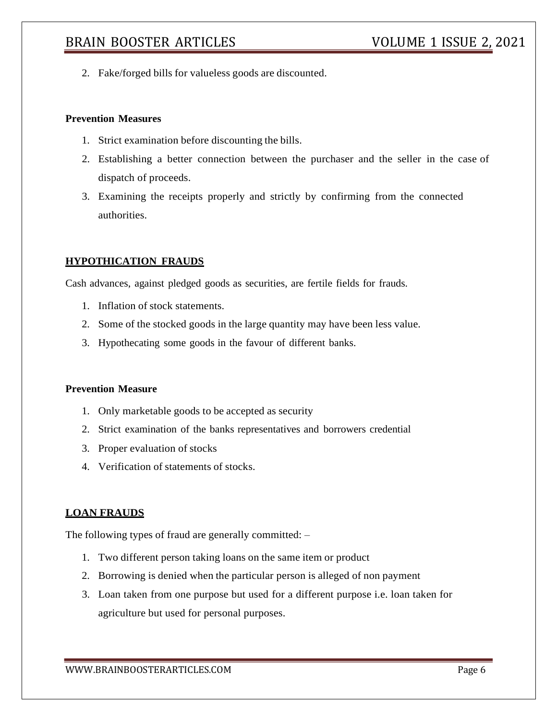2. Fake/forged bills for valueless goods are discounted.

#### **Prevention Measures**

- 1. Strict examination before discounting the bills.
- 2. Establishing a better connection between the purchaser and the seller in the case of dispatch of proceeds.
- 3. Examining the receipts properly and strictly by confirming from the connected authorities.

#### **HYPOTHICATION FRAUDS**

Cash advances, against pledged goods as securities, are fertile fields for frauds.

- 1. Inflation of stock statements.
- 2. Some of the stocked goods in the large quantity may have been less value.
- 3. Hypothecating some goods in the favour of different banks.

#### **Prevention Measure**

- 1. Only marketable goods to be accepted as security
- 2. Strict examination of the banks representatives and borrowers credential
- 3. Proper evaluation of stocks
- 4. Verification of statements of stocks.

#### **LOAN FRAUDS**

The following types of fraud are generally committed: –

- 1. Two different person taking loans on the same item or product
- 2. Borrowing is denied when the particular person is alleged of non payment
- 3. Loan taken from one purpose but used for a different purpose i.e. loan taken for agriculture but used for personal purposes.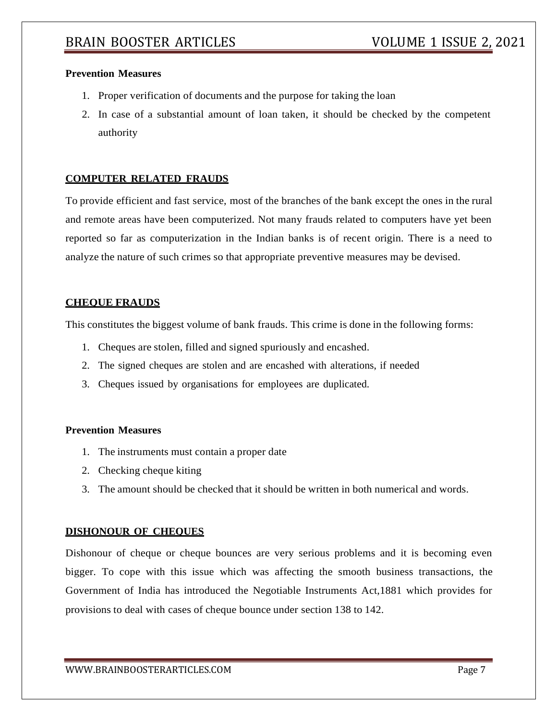#### **Prevention Measures**

- 1. Proper verification of documents and the purpose for taking the loan
- 2. In case of a substantial amount of loan taken, it should be checked by the competent authority

#### **COMPUTER RELATED FRAUDS**

To provide efficient and fast service, most of the branches of the bank except the ones in the rural and remote areas have been computerized. Not many frauds related to computers have yet been reported so far as computerization in the Indian banks is of recent origin. There is a need to analyze the nature of such crimes so that appropriate preventive measures may be devised.

#### **CHEQUE FRAUDS**

This constitutes the biggest volume of bank frauds. This crime is done in the following forms:

- 1. Cheques are stolen, filled and signed spuriously and encashed.
- 2. The signed cheques are stolen and are encashed with alterations, if needed
- 3. Cheques issued by organisations for employees are duplicated.

#### **Prevention Measures**

- 1. The instruments must contain a proper date
- 2. Checking cheque kiting
- 3. The amount should be checked that it should be written in both numerical and words.

#### **DISHONOUR OF CHEQUES**

Dishonour of cheque or cheque bounces are very serious problems and it is becoming even bigger. To cope with this issue which was affecting the smooth business transactions, the Government of India has introduced the Negotiable Instruments Act,1881 which provides for provisions to deal with cases of cheque bounce under section 138 to 142.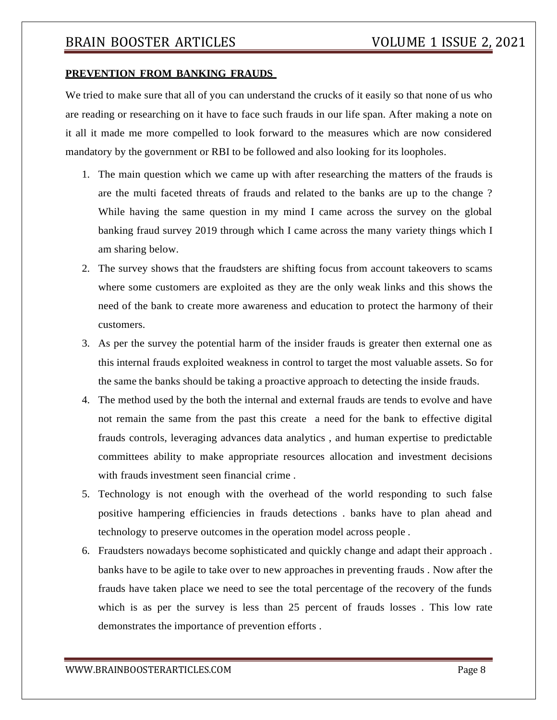#### **PREVENTION FROM BANKING FRAUDS**

We tried to make sure that all of you can understand the crucks of it easily so that none of us who are reading or researching on it have to face such frauds in our life span. After making a note on it all it made me more compelled to look forward to the measures which are now considered mandatory by the government or RBI to be followed and also looking for its loopholes.

- 1. The main question which we came up with after researching the matters of the frauds is are the multi faceted threats of frauds and related to the banks are up to the change ? While having the same question in my mind I came across the survey on the global banking fraud survey 2019 through which I came across the many variety things which I am sharing below.
- 2. The survey shows that the fraudsters are shifting focus from account takeovers to scams where some customers are exploited as they are the only weak links and this shows the need of the bank to create more awareness and education to protect the harmony of their customers.
- 3. As per the survey the potential harm of the insider frauds is greater then external one as this internal frauds exploited weakness in control to target the most valuable assets. So for the same the banks should be taking a proactive approach to detecting the inside frauds.
- 4. The method used by the both the internal and external frauds are tends to evolve and have not remain the same from the past this create a need for the bank to effective digital frauds controls, leveraging advances data analytics , and human expertise to predictable committees ability to make appropriate resources allocation and investment decisions with frauds investment seen financial crime.
- 5. Technology is not enough with the overhead of the world responding to such false positive hampering efficiencies in frauds detections . banks have to plan ahead and technology to preserve outcomes in the operation model across people .
- 6. Fraudsters nowadays become sophisticated and quickly change and adapt their approach . banks have to be agile to take over to new approaches in preventing frauds . Now after the frauds have taken place we need to see the total percentage of the recovery of the funds which is as per the survey is less than 25 percent of frauds losses. This low rate demonstrates the importance of prevention efforts .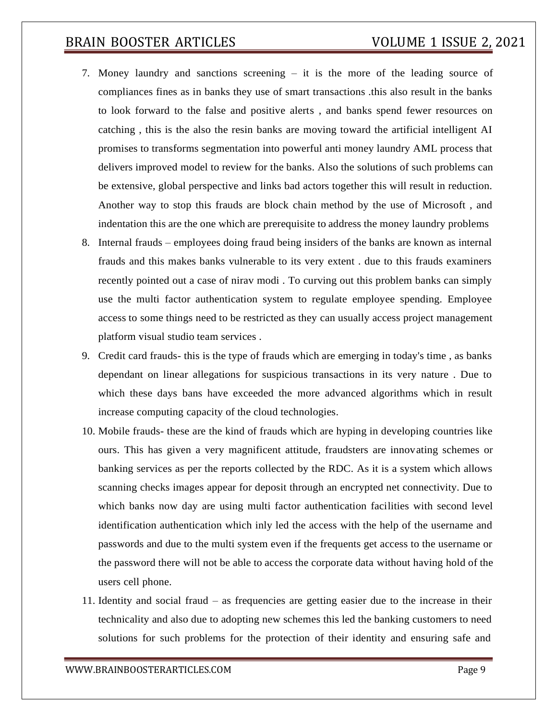- 7. Money laundry and sanctions screening it is the more of the leading source of compliances fines as in banks they use of smart transactions .this also result in the banks to look forward to the false and positive alerts , and banks spend fewer resources on catching , this is the also the resin banks are moving toward the artificial intelligent AI promises to transforms segmentation into powerful anti money laundry AML process that delivers improved model to review for the banks. Also the solutions of such problems can be extensive, global perspective and links bad actors together this will result in reduction. Another way to stop this frauds are block chain method by the use of Microsoft , and indentation this are the one which are prerequisite to address the money laundry problems
- 8. Internal frauds employees doing fraud being insiders of the banks are known as internal frauds and this makes banks vulnerable to its very extent . due to this frauds examiners recently pointed out a case of nirav modi . To curving out this problem banks can simply use the multi factor authentication system to regulate employee spending. Employee access to some things need to be restricted as they can usually access project management platform visual studio team services .
- 9. Credit card frauds- this is the type of frauds which are emerging in today's time , as banks dependant on linear allegations for suspicious transactions in its very nature . Due to which these days bans have exceeded the more advanced algorithms which in result increase computing capacity of the cloud technologies.
- 10. Mobile frauds- these are the kind of frauds which are hyping in developing countries like ours. This has given a very magnificent attitude, fraudsters are innovating schemes or banking services as per the reports collected by the RDC. As it is a system which allows scanning checks images appear for deposit through an encrypted net connectivity. Due to which banks now day are using multi factor authentication facilities with second level identification authentication which inly led the access with the help of the username and passwords and due to the multi system even if the frequents get access to the username or the password there will not be able to access the corporate data without having hold of the users cell phone.
- 11. Identity and social fraud as frequencies are getting easier due to the increase in their technicality and also due to adopting new schemes this led the banking customers to need solutions for such problems for the protection of their identity and ensuring safe and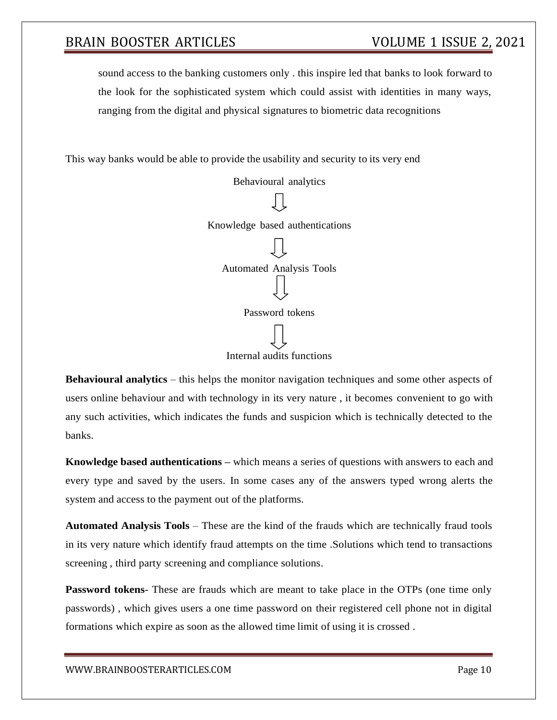sound access to the banking customers only . this inspire led that banks to look forward to the look for the sophisticated system which could assist with identities in many ways, ranging from the digital and physical signatures to biometric data recognitions

This way banks would be able to provide the usability and security to its very end

Behavioural analytics Knowledge based authentications Automated Analysis Tools Password tokens Internal audits functions

**Behavioural analytics** – this helps the monitor navigation techniques and some other aspects of users online behaviour and with technology in its very nature , it becomes convenient to go with any such activities, which indicates the funds and suspicion which is technically detected to the banks.

**Knowledge based authentications –** which means a series of questions with answers to each and every type and saved by the users. In some cases any of the answers typed wrong alerts the system and access to the payment out of the platforms.

**Automated Analysis Tools** – These are the kind of the frauds which are technically fraud tools in its very nature which identify fraud attempts on the time .Solutions which tend to transactions screening , third party screening and compliance solutions.

**Password tokens**- These are frauds which are meant to take place in the OTPs (one time only passwords) , which gives users a one time password on their registered cell phone not in digital formations which expire as soon as the allowed time limit of using it is crossed .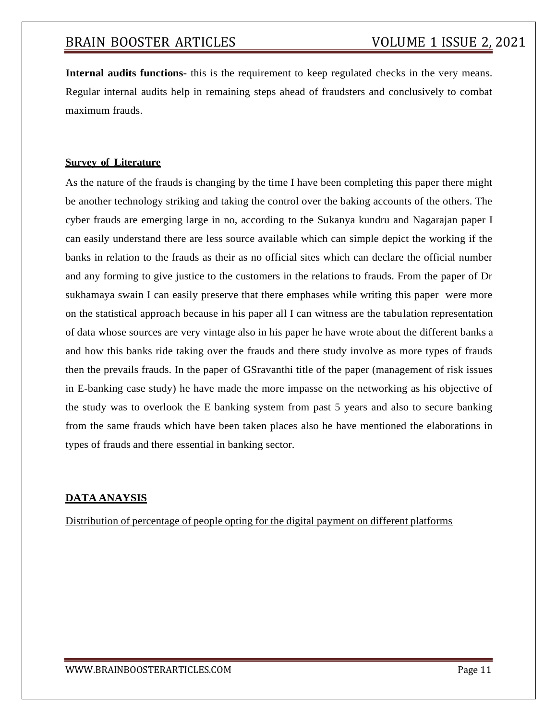**Internal audits functions-** this is the requirement to keep regulated checks in the very means. Regular internal audits help in remaining steps ahead of fraudsters and conclusively to combat maximum frauds.

### **Survey of Literature**

As the nature of the frauds is changing by the time I have been completing this paper there might be another technology striking and taking the control over the baking accounts of the others. The cyber frauds are emerging large in no, according to the Sukanya kundru and Nagarajan paper I can easily understand there are less source available which can simple depict the working if the banks in relation to the frauds as their as no official sites which can declare the official number and any forming to give justice to the customers in the relations to frauds. From the paper of Dr sukhamaya swain I can easily preserve that there emphases while writing this paper were more on the statistical approach because in his paper all I can witness are the tabulation representation of data whose sources are very vintage also in his paper he have wrote about the different banks a and how this banks ride taking over the frauds and there study involve as more types of frauds then the prevails frauds. In the paper of GSravanthi title of the paper (management of risk issues in E-banking case study) he have made the more impasse on the networking as his objective of the study was to overlook the E banking system from past 5 years and also to secure banking from the same frauds which have been taken places also he have mentioned the elaborations in types of frauds and there essential in banking sector.

### **DATA ANAYSIS**

Distribution of percentage of people opting for the digital payment on different platforms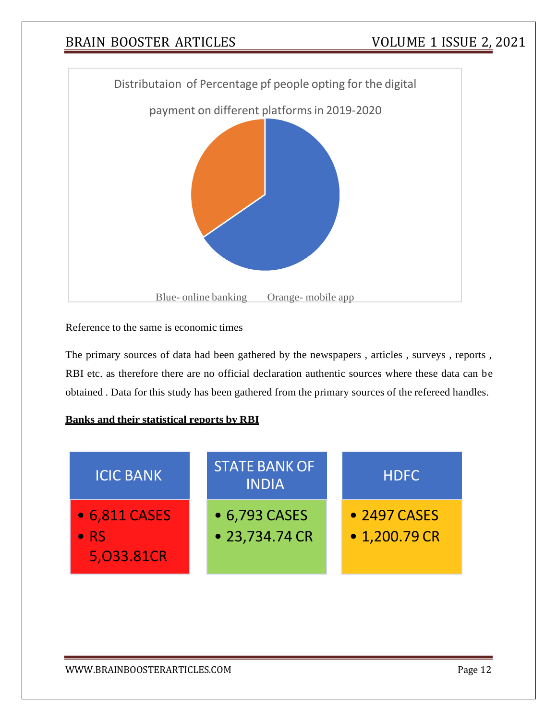

Reference to the same is economic times

The primary sources of data had been gathered by the newspapers , articles , surveys , reports , RBI etc. as therefore there are no official declaration authentic sources where these data can be obtained . Data for this study has been gathered from the primary sources of the refereed handles.

#### **Banks and their statistical reports by RBI**

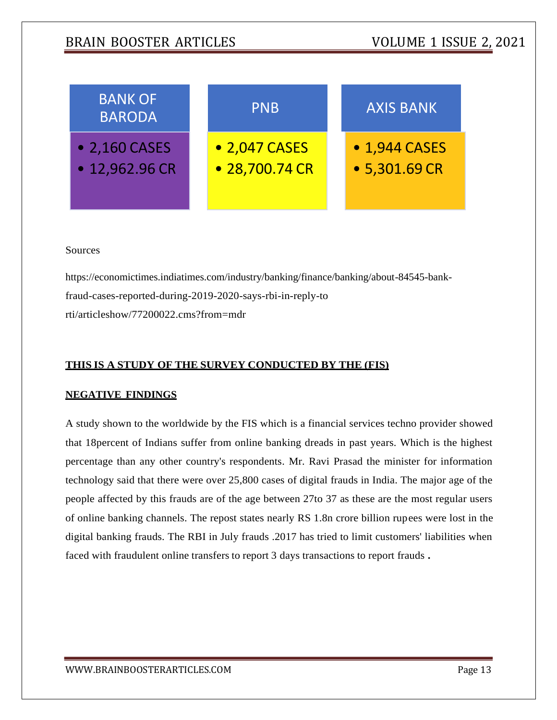

Sources

[https://economictimes.indiatimes.com/industry/banking/finance/banking/about-84545-b](https://economictimes.indiatimes.com/industry/banking/finance/banking/about-84545-bank-fraud-cases-reported-during-2019-2020-says-rbi-in-reply-to-rti/articleshow/77200022.cms?from=mdr)ankfraud-cases-reported-during-2019-2020-says-rbi-in-reply-to [rti/articleshow/77200022.cms?from=mdr](https://economictimes.indiatimes.com/industry/banking/finance/banking/about-84545-bank-fraud-cases-reported-during-2019-2020-says-rbi-in-reply-to-rti/articleshow/77200022.cms?from=mdr)

#### **THIS IS A STUDY OF THE SURVEY CONDUCTED BY THE (FIS)**

#### **NEGATIVE FINDINGS**

A study shown to the worldwide by the FIS which is a financial services techno provider showed that 18percent of Indians suffer from online banking dreads in past years. Which is the highest percentage than any other country's respondents. Mr. Ravi Prasad the minister for information technology said that there were over 25,800 cases of digital frauds in India. The major age of the people affected by this frauds are of the age between 27to 37 as these are the most regular users of online banking channels. The repost states nearly RS 1.8n crore billion rupees were lost in the digital banking frauds. The RBI in July frauds .2017 has tried to limit customers' liabilities when faced with fraudulent online transfers to report 3 days transactions to report frauds **.**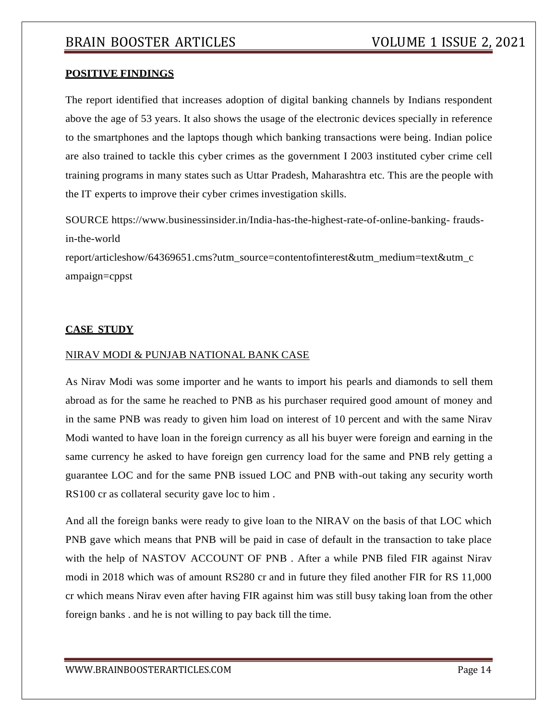#### **POSITIVE FINDINGS**

The report identified that increases adoption of digital banking channels by Indians respondent above the age of 53 years. It also shows the usage of the electronic devices specially in reference to the smartphones and the laptops though which banking transactions were being. Indian police are also trained to tackle this cyber crimes as the government I 2003 instituted cyber crime cell training programs in many states such as Uttar Pradesh, Maharashtra etc. This are the people with the IT experts to improve their cyber crimes investigation skills.

SOURCE https:/[/www.businessinsider.in/India-has-the-highest-rate-of-online-banking-](http://www.businessinsider.in/India-has-the-highest-rate-of-online-banking-) fraudsin-the-world

report/articleshow/64369651.cms?utm\_source=contentofinterest&utm\_medium=text&utm\_c ampaign=cppst

#### **CASE STUDY**

#### NIRAV MODI & PUNJAB NATIONAL BANK CASE

As Nirav Modi was some importer and he wants to import his pearls and diamonds to sell them abroad as for the same he reached to PNB as his purchaser required good amount of money and in the same PNB was ready to given him load on interest of 10 percent and with the same Nirav Modi wanted to have loan in the foreign currency as all his buyer were foreign and earning in the same currency he asked to have foreign gen currency load for the same and PNB rely getting a guarantee LOC and for the same PNB issued LOC and PNB with-out taking any security worth RS100 cr as collateral security gave loc to him .

And all the foreign banks were ready to give loan to the NIRAV on the basis of that LOC which PNB gave which means that PNB will be paid in case of default in the transaction to take place with the help of NASTOV ACCOUNT OF PNB . After a while PNB filed FIR against Nirav modi in 2018 which was of amount RS280 cr and in future they filed another FIR for RS 11,000 cr which means Nirav even after having FIR against him was still busy taking loan from the other foreign banks . and he is not willing to pay back till the time.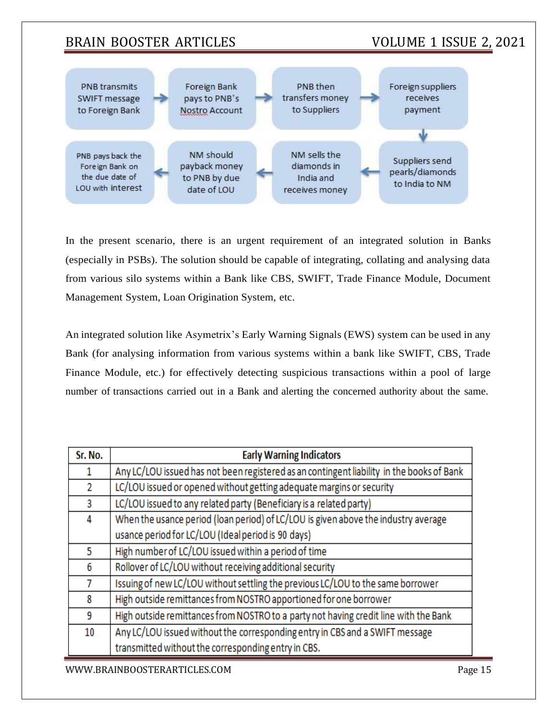

In the present scenario, there is an urgent requirement of an integrated solution in Banks (especially in PSBs). The solution should be capable of integrating, collating and analysing data from various silo systems within a Bank like CBS, SWIFT, Trade Finance Module, Document Management System, Loan Origination System, etc.

An integrated solution like Asymetrix's Early Warning Signals (EWS) system can be used in any Bank (for analysing information from various systems within a bank like SWIFT, CBS, Trade Finance Module, etc.) for effectively detecting suspicious transactions within a pool of large number of transactions carried out in a Bank and alerting the concerned authority about the same.

| Sr. No. | <b>Early Warning Indicators</b>                                                           |
|---------|-------------------------------------------------------------------------------------------|
| 1       | Any LC/LOU issued has not been registered as an contingent liability in the books of Bank |
| 2       | LC/LOU issued or opened without getting adequate margins or security                      |
| 3       | LC/LOU issued to any related party (Beneficiary is a related party)                       |
| 4       | When the usance period (loan period) of LC/LOU is given above the industry average        |
|         | usance period for LC/LOU (Ideal period is 90 days)                                        |
| 5.      | High number of LC/LOU issued within a period of time                                      |
| 6       | Rollover of LC/LOU without receiving additional security                                  |
|         | Issuing of new LC/LOU without settling the previous LC/LOU to the same borrower           |
| 8       | High outside remittances from NOSTRO apportioned for one borrower                         |
| 9       | High outside remittances from NOSTRO to a party not having credit line with the Bank      |
| 10      | Any LC/LOU issued without the corresponding entry in CBS and a SWIFT message              |
|         | transmitted without the corresponding entry in CBS.                                       |

[WWW.BRAINBOOSTERARTICLES.COM](http://www.brainboosterarticles.com/) Page 15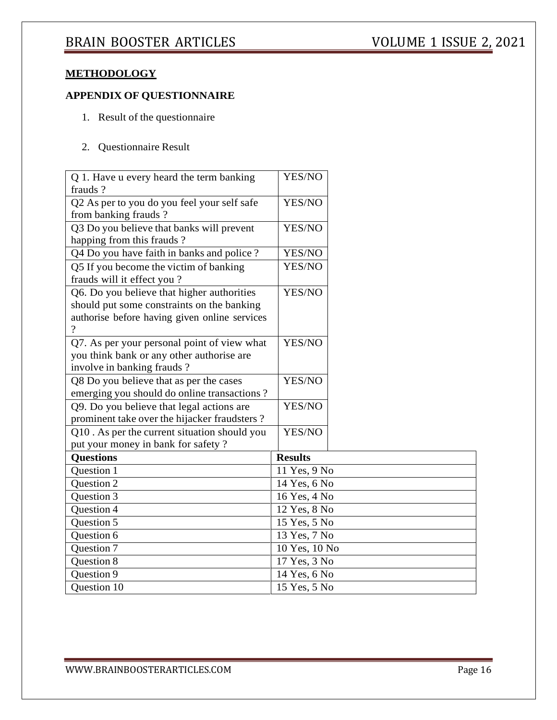### **METHODOLOGY**

## **APPENDIX OF QUESTIONNAIRE**

- 1. Result of the questionnaire
- 2. Questionnaire Result

| Q 1. Have u every heard the term banking               | YES/NO         |  |
|--------------------------------------------------------|----------------|--|
| frauds?<br>Q2 As per to you do you feel your self safe | YES/NO         |  |
| from banking frauds?                                   |                |  |
| Q3 Do you believe that banks will prevent              | YES/NO         |  |
| happing from this frauds?                              |                |  |
| Q4 Do you have faith in banks and police?              | YES/NO         |  |
| Q5 If you become the victim of banking                 | YES/NO         |  |
| frauds will it effect you?                             |                |  |
| Q6. Do you believe that higher authorities             | YES/NO         |  |
| should put some constraints on the banking             |                |  |
| authorise before having given online services          |                |  |
| $\overline{?}$                                         |                |  |
| Q7. As per your personal point of view what            | YES/NO         |  |
| you think bank or any other authorise are              |                |  |
| involve in banking frauds?                             |                |  |
| Q8 Do you believe that as per the cases                | YES/NO         |  |
| emerging you should do online transactions?            |                |  |
| Q9. Do you believe that legal actions are              | YES/NO         |  |
| prominent take over the hijacker fraudsters?           |                |  |
| Q10. As per the current situation should you           | YES/NO         |  |
| put your money in bank for safety?                     |                |  |
| <b>Questions</b>                                       | <b>Results</b> |  |
| Question 1                                             | 11 Yes, 9 No   |  |
| Question 2                                             | 14 Yes, 6 No   |  |
| <b>Ouestion 3</b>                                      | 16 Yes, 4 No   |  |
| Question 4                                             | 12 Yes, 8 No   |  |
| Question 5                                             | 15 Yes, 5 No   |  |
| Question 6                                             | 13 Yes, 7 No   |  |
| Question 7                                             | 10 Yes, 10 No  |  |
| Question 8                                             | 17 Yes, 3 No   |  |
| Question 9                                             | 14 Yes, 6 No   |  |
| <b>Ouestion 10</b>                                     | 15 Yes, 5 No   |  |
|                                                        |                |  |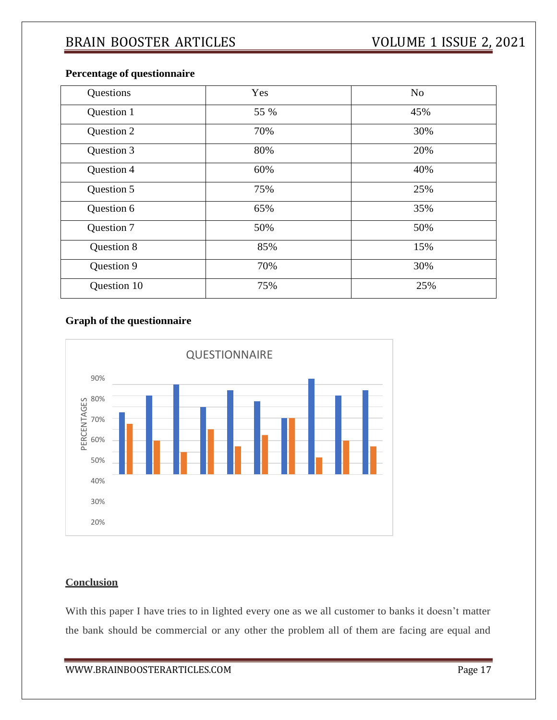| Questions  | Yes  | N <sub>o</sub> |
|------------|------|----------------|
| Question 1 | 55 % | 45%            |
| Question 2 | 70%  | 30%            |
| Question 3 | 80%  | 20%            |
| Question 4 | 60%  | 40%            |
| Question 5 | 75%  | 25%            |
| Question 6 | 65%  | 35%            |
| Question 7 | 50%  | 50%            |
| Question 8 | 85%  | 15%            |
| Question 9 | 70%  | 30%            |

Question 10 75% 25%

### **Percentage of questionnaire**

### **Graph of the questionnaire**



## **Conclusion**

With this paper I have tries to in lighted every one as we all customer to banks it doesn't matter the bank should be commercial or any other the problem all of them are facing are equal and